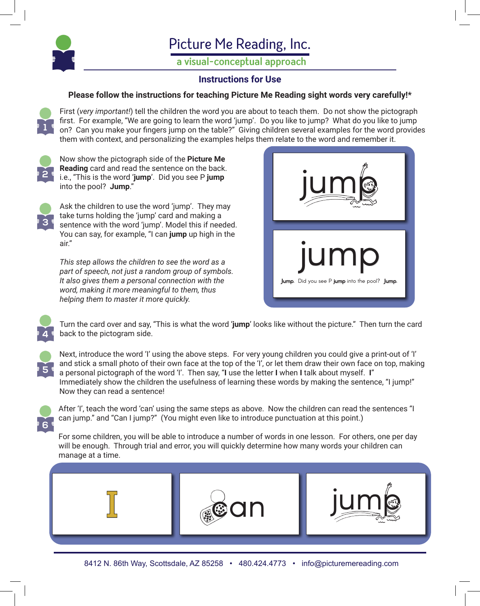

## Picture Me Reading, Inc.

**a visual-conceptual approach**

## **Instructions for Use**

## **Please follow the instructions for teaching Picture Me Reading sight words very carefully!\***

First (*very important!*) tell the children the word you are about to teach them. Do not show the pictograph first. For example, "We are going to learn the word 'jump'. Do you like to jump? What do you like to jump on? Can you make your fingers jump on the table?" Giving children several examples for the word provides them with context, and personalizing the examples helps them relate to the word and remember it.



**1**

Now show the pictograph side of the **Picture Me Reading** card and read the sentence on the back. i.e., "This is the word '**jump**'. Did you see P **jump** into the pool? **Jump**."



Ask the children to use the word 'jump'. They may take turns holding the 'jump' card and making a sentence with the word 'jump'. Model this if needed. You can say, for example, "I can **jump** up high in the air."

*This step allows the children to see the word as a part of speech, not just a random group of symbols. It also gives them a personal connection with the word, making it more meaningful to them, thus helping them to master it more quickly.*



Turn the card over and say, "This is what the word '**jump**' looks like without the picture." Then turn the card back to the pictogram side.



**6**

**4**

Next, introduce the word 'I' using the above steps. For very young children you could give a print-out of 'I' and stick a small photo of their own face at the top of the 'I', or let them draw their own face on top, making a personal pictograph of the word 'I'. Then say, "**I** use the letter **I** when **I** talk about myself. **I**" Immediately show the children the usefulness of learning these words by making the sentence, "I jump!" Now they can read a sentence!

After 'I', teach the word 'can' using the same steps as above. Now the children can read the sentences "I can jump." and "Can I jump?" (You might even like to introduce punctuation at this point.)

For some children, you will be able to introduce a number of words in one lesson. For others, one per day will be enough. Through trial and error, you will quickly determine how many words your children can manage at a time.